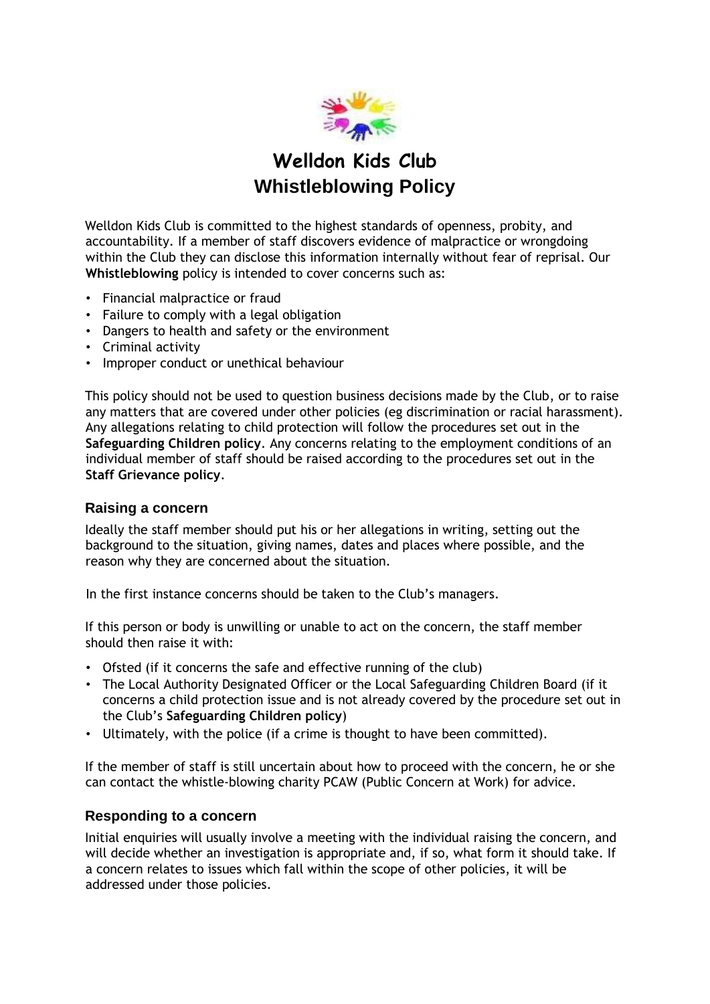

# **Welldon Kids Club Whistleblowing Policy**

Welldon Kids Club is committed to the highest standards of openness, probity, and accountability. If a member of staff discovers evidence of malpractice or wrongdoing within the Club they can disclose this information internally without fear of reprisal. Our **Whistleblowing** policy is intended to cover concerns such as:

- Financial malpractice or fraud
- Failure to comply with a legal obligation
- Dangers to health and safety or the environment
- Criminal activity
- Improper conduct or unethical behaviour

This policy should not be used to question business decisions made by the Club, or to raise any matters that are covered under other policies (eg discrimination or racial harassment). Any allegations relating to child protection will follow the procedures set out in the **Safeguarding Children policy**. Any concerns relating to the employment conditions of an individual member of staff should be raised according to the procedures set out in the **Staff Grievance policy**.

#### **Raising a concern**

Ideally the staff member should put his or her allegations in writing, setting out the background to the situation, giving names, dates and places where possible, and the reason why they are concerned about the situation.

In the first instance concerns should be taken to the Club's managers.

If this person or body is unwilling or unable to act on the concern, the staff member should then raise it with:

- Ofsted (if it concerns the safe and effective running of the club)
- The Local Authority Designated Officer or the Local Safeguarding Children Board (if it concerns a child protection issue and is not already covered by the procedure set out in the Club's **Safeguarding Children policy**)
- Ultimately, with the police (if a crime is thought to have been committed).

If the member of staff is still uncertain about how to proceed with the concern, he or she can contact the whistle-blowing charity PCAW (Public Concern at Work) for advice.

### **Responding to a concern**

Initial enquiries will usually involve a meeting with the individual raising the concern, and will decide whether an investigation is appropriate and, if so, what form it should take. If a concern relates to issues which fall within the scope of other policies, it will be addressed under those policies.